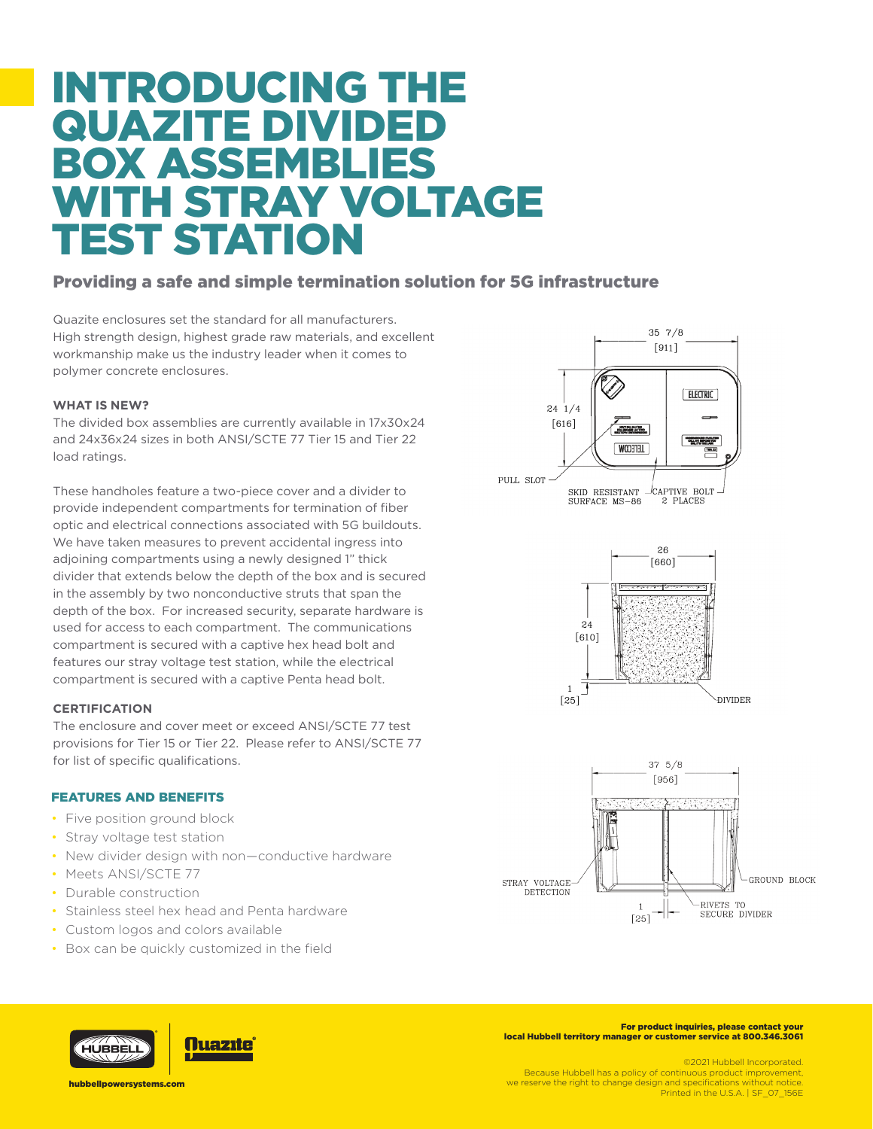# INTRODUCING THE **QUAZITE DIVIDE** BOX ASSEMBLIES WITH STRAY VOLTAGE TEST STATION

# Providing a safe and simple termination solution for 5G infrastructure

Quazite enclosures set the standard for all manufacturers. High strength design, highest grade raw materials, and excellent workmanship make us the industry leader when it comes to polymer concrete enclosures.

## **WHAT IS NEW?**

what is NEW:<br>The divided box assemblies are currently available in 17x30x24 and 24x36x24 sizes in both ANSI/SCTE 77 Tier 15 and Tier 22 load ratings.  $[161]$ 

These handholes feature a two-piece cover and a divider to provide independent compartments for termination of fiber provide independent comparaments for termination of liber<br>optic and electrical connections associated with 5G buildouts. We have taken measures to prevent accidental ingress into adjoining compartments using a newly designed 1" thick divider that extends below the depth of the box and is secured in the assembly by two nonconductive struts that span the depth of the box. For increased security, separate hardware is used for access to each compartment. The communications compartment is secured with a captive hex head bolt and features our stray voltage test station, while the electrical reatures our stray voltage test station, while the electricity compartment is secured with a captive Penta head bolt.

### **CERTIFICATION**

The enclosure and cover meet or exceed ANSI/SCTE 77 test provisions for Tier 15 or Tier 22. Please refer to ANSI/SCTE 77 for list of specific qualifications.

### FEATURES AND BENEFITS

- Five position ground block
- Stray voltage test station
- New divider design with non—conductive hardware
- Meets ANSI/SCTF 77
- Durable construction
- Stainless steel hex head and Penta hardware
- Custom logos and colors available
- Box can be quickly customized in the field



**Nuazıte** 

For product inquiries, please contact your local Hubbell territory manager or customer service at 800.346.3061

©2021 Hubbell Incorporated.

Because Hubbell has a policy of continuous product improvement, we reserve the right to change design and specifications without notice. Printed in the U.S.A. | SF\_07\_156E

hubbellpowersystems.com

HUBBELI